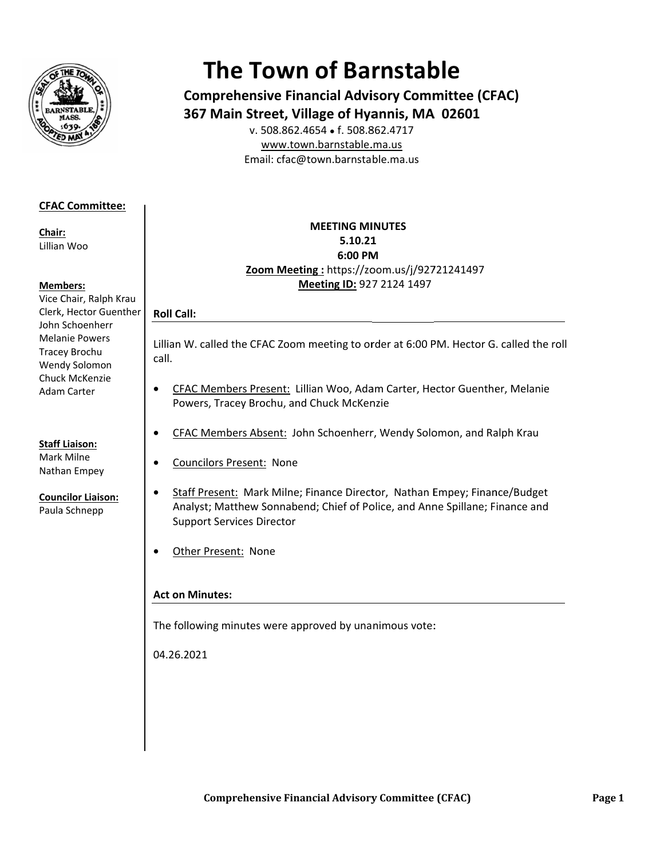

# **The Town of Barnstable**

**Comprehensive Financial Advisory Committee (CFAC)** 367 Main Street, Village of Hyannis, MA 02601

v. 508.862.4654 • f. 508.862.4717 www.town.barnstable.ma.us Email: cfac@town.barnstable.ma.us

# **CFAC Committee:**

Chair: Lillian Woo

### **Members:**

Vice Chair, Ralph Krau Clerk, Hector Guenther John Schoenherr **Melanie Powers** Tracey Brochu Wendy Solomon Chuck McKenzie **Adam Carter** 

**Staff Liaison:** Mark Milne Nathan Empey

**Councilor Liaison:** 

Paula Schnepp

## **MEETING MINUTES** 5.10.21 6:00 PM Zoom Meeting: https://zoom.us/j/92721241497 Meeting ID: 927 2124 1497

# **Roll Call:**

 $\bullet$ 

Lillian W. called the CFAC Zoom meeting to order at 6:00 PM. Hector G. called the roll call.

- CFAC Members Present: Lillian Woo, Adam Carter, Hector Guenther, Melanie  $\bullet$ Powers, Tracey Brochu, and Chuck McKenzie
- CFAC Members Absent: John Schoenherr, Wendy Solomon, and Ralph Krau  $\bullet$ 
	- **Councilors Present: None**
- Staff Present: Mark Milne; Finance Director, Nathan Empey; Finance/Budget  $\bullet$ Analyst; Matthew Sonnabend; Chief of Police, and Anne Spillane; Finance and **Support Services Director**
- $\bullet$ Other Present: None

# **Act on Minutes:**

The following minutes were approved by unanimous vote:

04.26.2021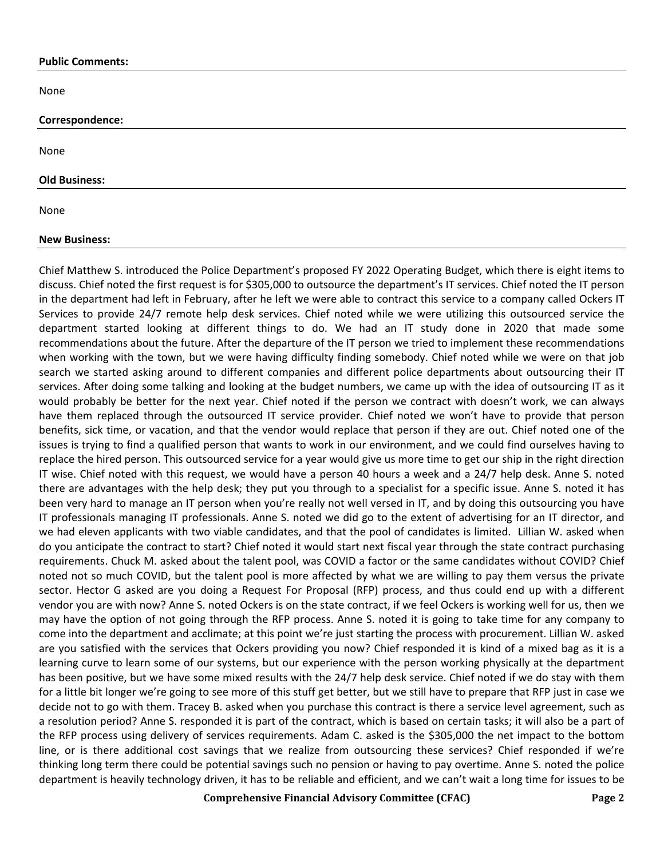#### **Public Comments:**

None

#### **Correspondence:**

None

#### **Old Business:**

None

#### **New Business:**

Chief Matthew S. introduced the Police Department's proposed FY 2022 Operating Budget, which there is eight items to discuss. Chief noted the first request is for \$305,000 to outsource the department's IT services. Chief noted the IT person in the department had left in February, after he left we were able to contract this service to a company called Ockers IT Services to provide 24/7 remote help desk services. Chief noted while we were utilizing this outsourced service the department started looking at different things to do. We had an IT study done in 2020 that made some recommendations about the future. After the departure of the IT person we tried to implement these recommendations when working with the town, but we were having difficulty finding somebody. Chief noted while we were on that job search we started asking around to different companies and different police departments about outsourcing their IT services. After doing some talking and looking at the budget numbers, we came up with the idea of outsourcing IT as it would probably be better for the next year. Chief noted if the person we contract with doesn't work, we can always have them replaced through the outsourced IT service provider. Chief noted we won't have to provide that person benefits, sick time, or vacation, and that the vendor would replace that person if they are out. Chief noted one of the issues is trying to find a qualified person that wants to work in our environment, and we could find ourselves having to replace the hired person. This outsourced service for a year would give us more time to get our ship in the right direction IT wise. Chief noted with this request, we would have a person 40 hours a week and a 24/7 help desk. Anne S. noted there are advantages with the help desk; they put you through to a specialist for a specific issue. Anne S. noted it has been very hard to manage an IT person when you're really not well versed in IT, and by doing this outsourcing you have IT professionals managing IT professionals. Anne S. noted we did go to the extent of advertising for an IT director, and we had eleven applicants with two viable candidates, and that the pool of candidates is limited. Lillian W. asked when do you anticipate the contract to start? Chief noted it would start next fiscal year through the state contract purchasing requirements. Chuck M. asked about the talent pool, was COVID a factor or the same candidates without COVID? Chief noted not so much COVID, but the talent pool is more affected by what we are willing to pay them versus the private sector. Hector G asked are you doing a Request For Proposal (RFP) process, and thus could end up with a different vendor you are with now? Anne S. noted Ockers is on the state contract, if we feel Ockers is working well for us, then we may have the option of not going through the RFP process. Anne S. noted it is going to take time for any company to come into the department and acclimate; at this point we're just starting the process with procurement. Lillian W. asked are you satisfied with the services that Ockers providing you now? Chief responded it is kind of a mixed bag as it is a learning curve to learn some of our systems, but our experience with the person working physically at the department has been positive, but we have some mixed results with the 24/7 help desk service. Chief noted if we do stay with them for a little bit longer we're going to see more of this stuff get better, but we still have to prepare that RFP just in case we decide not to go with them. Tracey B. asked when you purchase this contract is there a service level agreement, such as a resolution period? Anne S. responded it is part of the contract, which is based on certain tasks; it will also be a part of the RFP process using delivery of services requirements. Adam C. asked is the \$305,000 the net impact to the bottom line, or is there additional cost savings that we realize from outsourcing these services? Chief responded if we're thinking long term there could be potential savings such no pension or having to pay overtime. Anne S. noted the police department is heavily technology driven, it has to be reliable and efficient, and we can't wait a long time for issues to be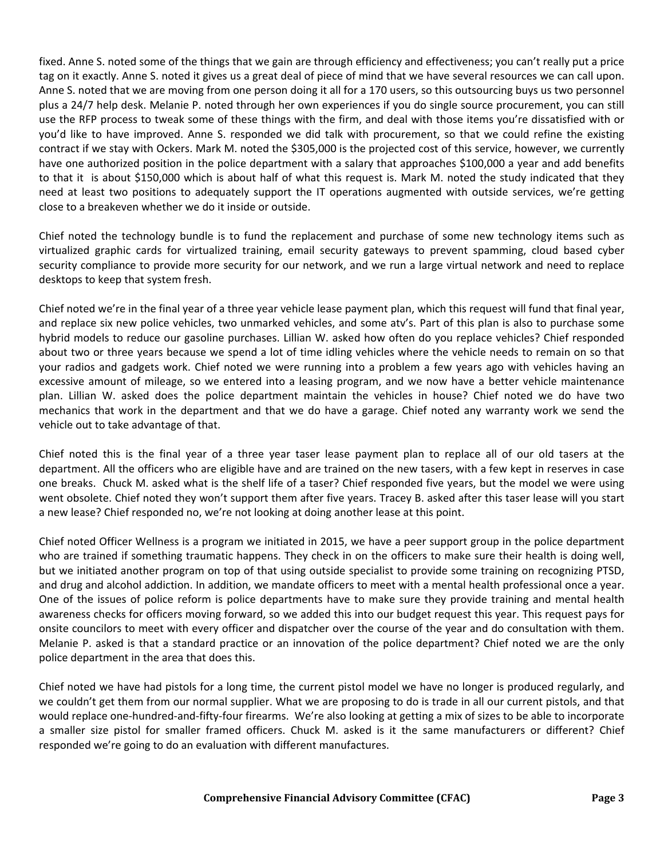fixed. Anne S. noted some of the things that we gain are through efficiency and effectiveness; you can't really put a price tag on it exactly. Anne S. noted it gives us a great deal of piece of mind that we have several resources we can call upon. Anne S. noted that we are moving from one person doing it all for a 170 users, so this outsourcing buys us two personnel plus a 24/7 help desk. Melanie P. noted through her own experiences if you do single source procurement, you can still use the RFP process to tweak some of these things with the firm, and deal with those items you're dissatisfied with or you'd like to have improved. Anne S. responded we did talk with procurement, so that we could refine the existing contract if we stay with Ockers. Mark M. noted the \$305,000 is the projected cost of this service, however, we currently have one authorized position in the police department with a salary that approaches \$100,000 a year and add benefits to that it is about \$150,000 which is about half of what this request is. Mark M. noted the study indicated that they need at least two positions to adequately support the IT operations augmented with outside services, we're getting close to a breakeven whether we do it inside or outside.

Chief noted the technology bundle is to fund the replacement and purchase of some new technology items such as virtualized graphic cards for virtualized training, email security gateways to prevent spamming, cloud based cyber security compliance to provide more security for our network, and we run a large virtual network and need to replace desktops to keep that system fresh.

Chief noted we're in the final year of a three year vehicle lease payment plan, which this request will fund that final year, and replace six new police vehicles, two unmarked vehicles, and some atv's. Part of this plan is also to purchase some hybrid models to reduce our gasoline purchases. Lillian W. asked how often do you replace vehicles? Chief responded about two or three years because we spend a lot of time idling vehicles where the vehicle needs to remain on so that your radios and gadgets work. Chief noted we were running into a problem a few years ago with vehicles having an excessive amount of mileage, so we entered into a leasing program, and we now have a better vehicle maintenance plan. Lillian W. asked does the police department maintain the vehicles in house? Chief noted we do have two mechanics that work in the department and that we do have a garage. Chief noted any warranty work we send the vehicle out to take advantage of that.

Chief noted this is the final year of a three year taser lease payment plan to replace all of our old tasers at the department. All the officers who are eligible have and are trained on the new tasers, with a few kept in reserves in case one breaks. Chuck M. asked what is the shelf life of a taser? Chief responded five years, but the model we were using went obsolete. Chief noted they won't support them after five years. Tracey B. asked after this taser lease will you start a new lease? Chief responded no, we're not looking at doing another lease at this point.

Chief noted Officer Wellness is a program we initiated in 2015, we have a peer support group in the police department who are trained if something traumatic happens. They check in on the officers to make sure their health is doing well, but we initiated another program on top of that using outside specialist to provide some training on recognizing PTSD, and drug and alcohol addiction. In addition, we mandate officers to meet with a mental health professional once a year. One of the issues of police reform is police departments have to make sure they provide training and mental health awareness checks for officers moving forward, so we added this into our budget request this year. This request pays for onsite councilors to meet with every officer and dispatcher over the course of the year and do consultation with them. Melanie P. asked is that a standard practice or an innovation of the police department? Chief noted we are the only police department in the area that does this.

Chief noted we have had pistols for a long time, the current pistol model we have no longer is produced regularly, and we couldn't get them from our normal supplier. What we are proposing to do is trade in all our current pistols, and that would replace one-hundred-and-fifty-four firearms. We're also looking at getting a mix of sizes to be able to incorporate a smaller size pistol for smaller framed officers. Chuck M. asked is it the same manufacturers or different? Chief responded we're going to do an evaluation with different manufactures.